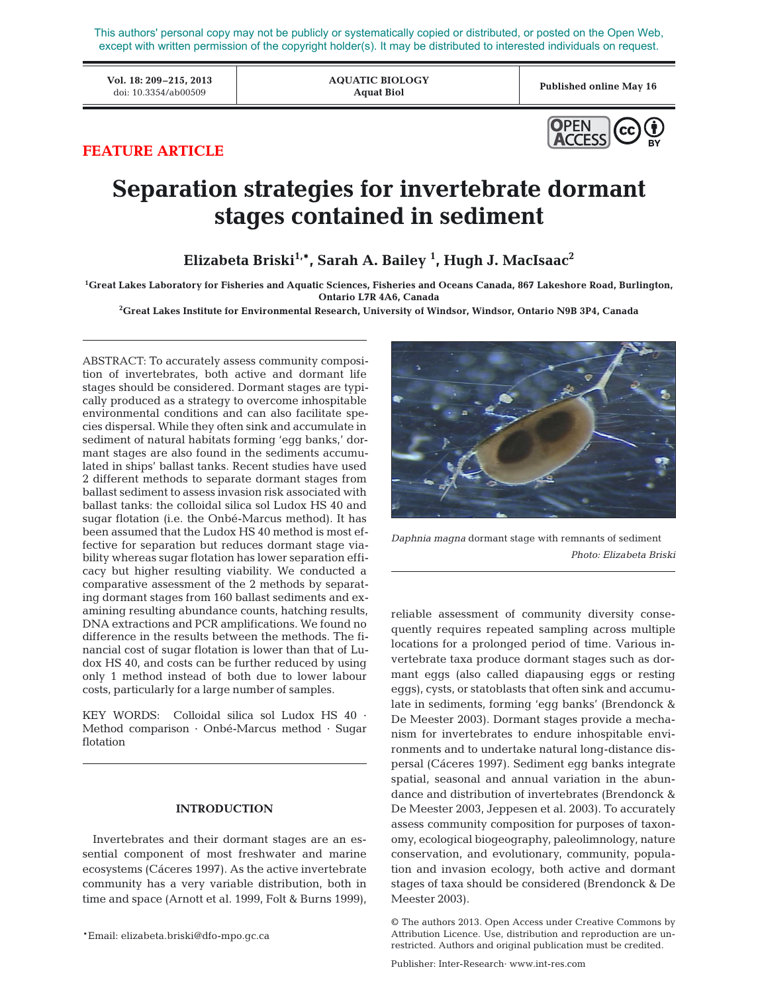This authors' personal copy may not be publicly or systematically copied or distributed, or posted on the Open Web, except with written permission of the copyright holder(s). It may be distributed to interested individuals on request.

**Vol. 18: 209–215, 2013** doi: 10.3354/ab00509 **Published online May 16**

**AQUATIC BIOLOGY Aquat Biol**



# **FEATURE ARTICLE**

# **Separation strategies for invertebrate dormant stages contained in sediment**

**Elizabeta Briski1,\*, Sarah A. Bailey 1 , Hugh J. MacIsaac2**

**1 Great Lakes Laboratory for Fisheries and Aquatic Sciences, Fisheries and Oceans Canada, 867 Lakeshore Road, Burlington, Ontario L7R 4A6, Canada**

**2 Great Lakes Institute for Environmental Research, University of Windsor, Windsor, Ontario N9B 3P4, Canada**

ABSTRACT: To accurately assess community composition of invertebrates, both active and dormant life stages should be considered. Dormant stages are typically produced as a strategy to overcome inhospitable environmental conditions and can also facilitate species dispersal. While they often sink and accumulate in sediment of natural habitats forming 'egg banks,' dormant stages are also found in the sediments accumulated in ships' ballast tanks. Recent studies have used 2 different methods to separate dormant stages from ballast sediment to assess invasion risk associated with ballast tanks: the colloidal silica sol Ludox HS 40 and sugar flotation (i.e. the Onbé-Marcus method). It has been assumed that the Ludox HS 40 method is most effective for separation but reduces dormant stage viability whereas sugar flotation has lower separation efficacy but higher resulting viability. We conducted a comparative assessment of the 2 methods by separating dormant stages from 160 ballast sediments and examining resulting abundance counts, hatching results, DNA extractions and PCR amplifications. We found no difference in the results between the methods. The financial cost of sugar flotation is lower than that of Ludox HS 40, and costs can be further reduced by using only 1 method instead of both due to lower labour costs, particularly for a large number of samples.

KEY WORDS: Colloidal silica sol Ludox HS 40 · Method comparison · Onbé-Marcus method · Sugar flotation

# **INTRODUCTION**

Invertebrates and their dormant stages are an essential component of most freshwater and marine ecosystems (Cáceres 1997). As the active invertebrate community has a very variable distribution, both in time and space (Arnott et al. 1999, Folt & Burns 1999),



*Daphnia magna* dormant stage with remnants of sediment *Photo: Elizabeta Briski*

reliable assessment of community diversity consequently requires repeated sampling across multiple locations for a prolonged period of time. Various invertebrate taxa produce dormant stages such as dormant eggs (also called diapausing eggs or resting eggs), cysts, or statoblasts that often sink and accumulate in sediments, forming 'egg banks' (Brendonck & De Meester 2003). Dormant stages provide a mechanism for invertebrates to endure inhospitable environments and to undertake natural long-distance dispersal (Cáceres 1997). Sediment egg banks integrate spatial, seasonal and annual variation in the abundance and distribution of invertebrates (Brendonck & De Meester 2003, Jeppesen et al. 2003). To accurately assess community composition for purposes of taxonomy, ecological biogeography, paleolimnology, nature conservation, and evolutionary, community, population and invasion ecology, both active and dormant stages of taxa should be considered (Brendonck & De Meester 2003).

<sup>©</sup> The authors 2013. Open Access under Creative Commons by Attribution Licence. Use, distribution and reproduction are unrestricted. Authors and original publication must be credited.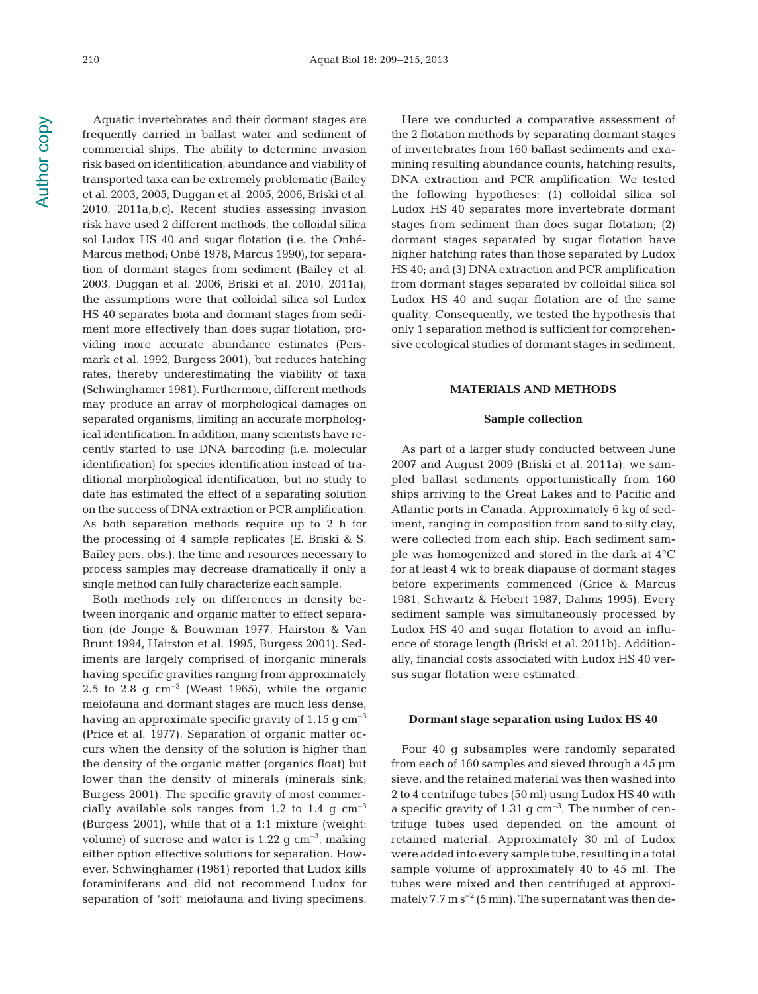Aquatic invertebrates and their dormant stages are frequently carried in ballast water and sediment of commercial ships. The ability to determine invasion risk based on identification, abundance and viability of transported taxa can be extremely problematic (Bailey et al. 2003, 2005, Duggan et al. 2005, 2006, Briski et al. 2010, 2011a,b,c). Recent studies assessing invasion risk have used 2 different methods, the colloidal silica sol Ludox HS 40 and sugar flotation (i.e. the Onbé-Marcus method; Onbé 1978, Marcus 1990), for separation of dormant stages from sediment (Bailey et al. 2003, Duggan et al. 2006, Briski et al. 2010, 2011a); the assumptions were that colloidal silica sol Ludox HS 40 separates biota and dormant stages from sediment more effectively than does sugar flotation, providing more accurate abundance estimates (Persmark et al. 1992, Burgess 2001), but reduces hatching rates, thereby underestimating the viability of taxa (Schwinghamer 1981). Furthermore, different methods may produce an array of morphological damages on separated organisms, limiting an accurate morphological identification. In addition, many scientists have recently started to use DNA barcoding (i.e. molecular identification) for species identification instead of traditional morphological identification, but no study to date has estimated the effect of a separating solution on the success of DNA extraction or PCR amplification. As both separation methods require up to 2 h for the processing of 4 sample replicates (E. Briski & S. Bailey pers. obs.), the time and resources necessary to process samples may decrease dramatically if only a single method can fully characterize each sample.

Both methods rely on differences in density be tween inorganic and organic matter to effect separation (de Jonge & Bouwman 1977, Hairston & Van Brunt 1994, Hairston et al. 1995, Burgess 2001). Sediments are largely comprised of inorganic minerals having specific gravities ranging from approximately 2.5 to 2.8 g  $\text{cm}^{-3}$  (Weast 1965), while the organic meiofauna and dormant stages are much less dense, having an approximate specific gravity of 1.15  $\rm g \, cm^{-3}$ (Price et al. 1977). Separation of organic matter oc curs when the density of the solution is higher than the density of the organic matter (organics float) but lower than the density of minerals (minerals sink; Burgess 2001). The specific gravity of most commercially available sols ranges from 1.2 to 1.4 g  $cm^{-3}$ (Burgess 2001), while that of a 1:1 mixture (weight: volume) of sucrose and water is 1.22 g cm−3, making either option effective solutions for separation. However, Schwinghamer (1981) reported that Ludox kills foraminiferans and did not recommend Ludox for separation of 'soft' meiofauna and living specimens.

Here we conducted a comparative assessment of the 2 flotation methods by separating dormant stages of invertebrates from 160 ballast sediments and exa mining resulting abundance counts, hatching results, DNA extraction and PCR amplification. We tested the following hypotheses: (1) colloidal silica sol Ludox HS 40 separates more invertebrate dormant stages from sediment than does sugar flotation; (2) dormant stages separated by sugar flotation have higher hatching rates than those separated by Ludox HS 40; and (3) DNA extraction and PCR amplification from dormant stages separated by colloidal silica sol Ludox HS 40 and sugar flotation are of the same quality. Consequently, we tested the hypothesis that only 1 separation method is sufficient for comprehensive ecological studies of dormant stages in sediment.

#### **MATERIALS AND METHODS**

#### **Sample collection**

As part of a larger study conducted between June 2007 and August 2009 (Briski et al. 2011a), we sampled ballast sediments opportunistically from 160 ships arriving to the Great Lakes and to Pacific and Atlantic ports in Canada. Approximately 6 kg of sediment, ranging in composition from sand to silty clay, were collected from each ship. Each sediment sample was homogenized and stored in the dark at 4°C for at least 4 wk to break diapause of dormant stages before experiments commenced (Grice & Marcus 1981, Schwartz & Hebert 1987, Dahms 1995). Every sediment sample was simultaneously processed by Ludox HS 40 and sugar flotation to avoid an influence of storage length (Briski et al. 2011b). Additionally, financial costs associated with Ludox HS 40 versus sugar flotation were estimated.

#### **Dormant stage separation using Ludox HS 40**

Four 40 g subsamples were randomly separated from each of 160 samples and sieved through a 45 µm sieve, and the retained material was then washed into 2 to 4 centrifuge tubes (50 ml) using Ludox HS 40 with a specific gravity of 1.31 g cm−3. The number of centrifuge tubes used depended on the amount of retained material. Approximately 30 ml of Ludox were added into every sample tube, resulting in a total sample volume of approximately 40 to 45 ml. The tubes were mixed and then centrifuged at approximately 7.7 m  $s^{-2}$  (5 min). The supernatant was then de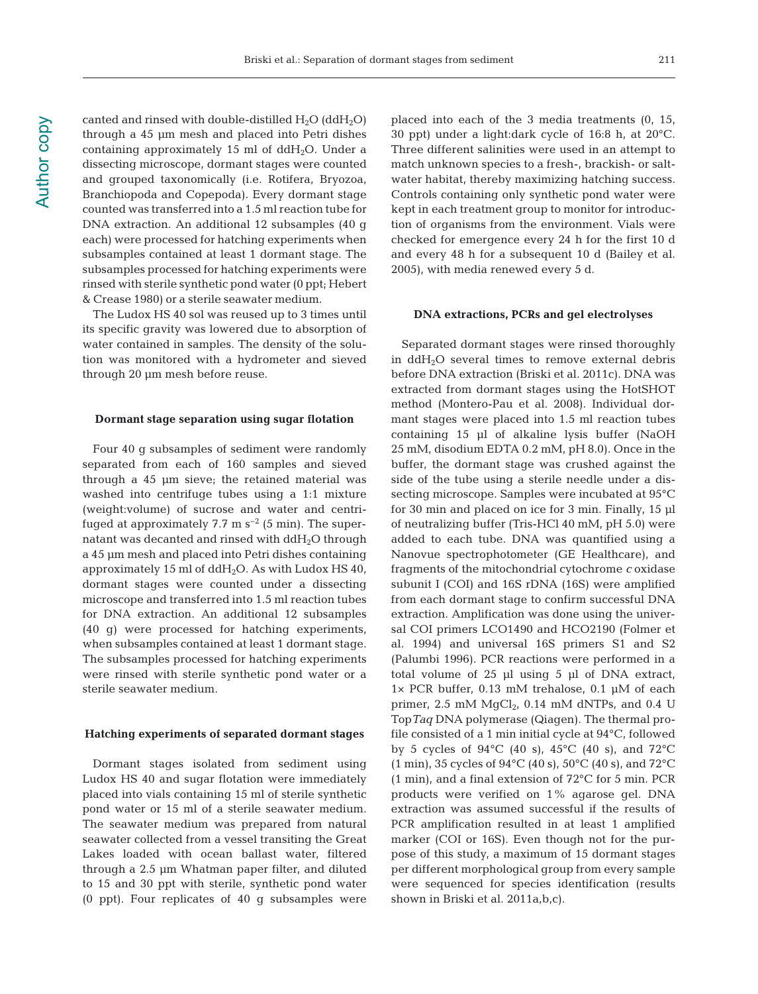canted and rinsed with double-distilled  $H_2O$  (dd $H_2O$ ) through a 45 µm mesh and placed into Petri dishes containing approximately 15 ml of  $ddH<sub>2</sub>O$ . Under a dissecting microscope, dormant stages were counted and grouped taxonomically (i.e. Rotifera, Bryozoa, Branchiopoda and Copepoda). Every dormant stage counted was transferred into a 1.5 ml reaction tube for DNA extraction. An additional 12 subsamples (40 g each) were processed for hatching experiments when subsamples contained at least 1 dormant stage. The subsamples processed for hatching experiments were rinsed with sterile synthetic pond water (0 ppt; Hebert & Crease 1980) or a sterile seawater medium.

The Ludox HS 40 sol was reused up to 3 times until its specific gravity was lowered due to absorption of water contained in samples. The density of the solution was monitored with a hydrometer and sieved through 20 µm mesh before reuse.

#### **Dormant stage separation using sugar flotation**

Four 40 g subsamples of sediment were randomly separated from each of 160 samples and sieved through a 45 µm sieve; the retained material was washed into centrifuge tubes using a 1:1 mixture (weight: volume) of sucrose and water and centrifuged at approximately 7.7 m  $s^{-2}$  (5 min). The supernatant was decanted and rinsed with ddH<sub>2</sub>O through a 45 µm mesh and placed into Petri dishes containing approximately 15 ml of ddH2O. As with Ludox HS 40, dormant stages were counted under a dissecting microscope and transferred into 1.5 ml reaction tubes for DNA extraction. An additional 12 subsamples (40 g) were processed for hatching experiments, when subsamples contained at least 1 dormant stage. The subsamples processed for hatching experiments were rinsed with sterile synthetic pond water or a sterile seawater medium.

#### **Hatching experiments of separated dormant stages**

Dormant stages isolated from sediment using Ludox HS 40 and sugar flotation were immediately placed into vials containing 15 ml of sterile synthetic pond water or 15 ml of a sterile seawater medium. The seawater medium was prepared from natural seawater collected from a vessel transiting the Great Lakes loaded with ocean ballast water, filtered through a 2.5 µm Whatman paper filter, and diluted to 15 and 30 ppt with sterile, synthetic pond water (0 ppt). Four replicates of 40 g subsamples were placed into each of the 3 media treatments (0, 15, 30 ppt) under a light:dark cycle of 16:8 h, at 20°C. Three different salinities were used in an attempt to match unknown species to a fresh-, brackish- or saltwater habitat, thereby maximizing hatching success. Controls containing only synthetic pond water were kept in each treatment group to monitor for introduction of organisms from the environment. Vials were checked for emergence every 24 h for the first 10 d and every 48 h for a subsequent 10 d (Bailey et al. 2005), with media renewed every 5 d.

#### **DNA extractions, PCRs and gel electrolyses**

Separated dormant stages were rinsed thoroughly in ddH2O several times to remove external debris before DNA extraction (Briski et al. 2011c). DNA was extracted from dormant stages using the HotSHOT method (Montero-Pau et al. 2008). Individual dormant stages were placed into 1.5 ml reaction tubes containing 15 µl of alkaline lysis buffer (NaOH 25 mM, disodium EDTA 0.2 mM, pH 8.0). Once in the buffer, the dormant stage was crushed against the side of the tube using a sterile needle under a dissecting microscope. Samples were incubated at 95°C for 30 min and placed on ice for 3 min. Finally, 15 µl of neutralizing buffer (Tris-HCl 40 mM, pH 5.0) were added to each tube. DNA was quantified using a Nanovue spectrophotometer (GE Healthcare), and fragments of the mitochondrial cytochrome *c* oxidase subunit I (COI) and 16S rDNA (16S) were amplified from each dormant stage to confirm successful DNA extraction. Amplification was done using the universal COI primers LCO1490 and HCO2190 (Folmer et al. 1994) and universal 16S primers S1 and S2 (Palumbi 1996). PCR reactions were performed in a total volume of 25 µl using 5 µl of DNA extract, 1× PCR buffer, 0.13 mM trehalose, 0.1 µM of each primer,  $2.5$  mM  $MgCl<sub>2</sub>$ ,  $0.14$  mM dNTPs, and  $0.4$  U Top*Taq* DNA polymerase (Qiagen). The thermal profile consisted of a 1 min initial cycle at 94°C, followed by 5 cycles of  $94^{\circ}$ C (40 s),  $45^{\circ}$ C (40 s), and  $72^{\circ}$ C (1 min), 35 cycles of 94°C (40 s), 50°C (40 s), and 72°C (1 min), and a final extension of 72°C for 5 min. PCR products were verified on 1% agarose gel. DNA extraction was assumed successful if the results of PCR amplification resulted in at least 1 amplified marker (COI or 16S). Even though not for the purpose of this study, a maximum of 15 dormant stages per different morphological group from every sample were sequenced for species identification (results shown in Briski et al. 2011a,b,c).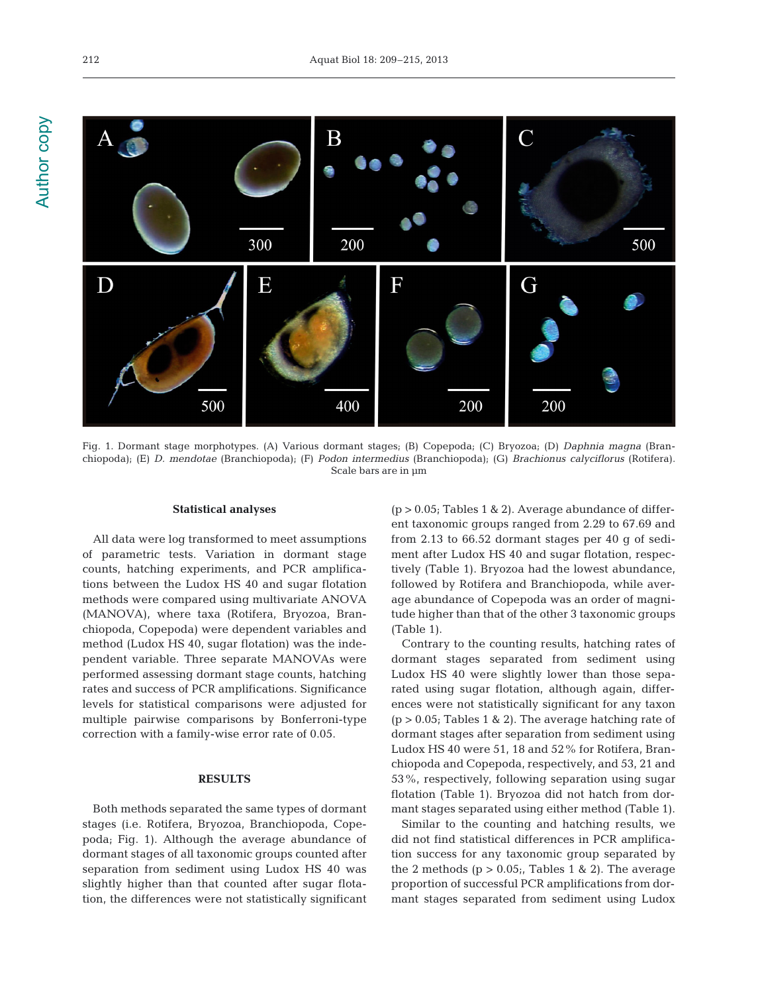

Fig. 1. Dormant stage morphotypes. (A) Various dormant stages; (B) Copepoda; (C) Bryozoa; (D) *Daphnia magna* (Branchiopoda); (E) *D. mendotae* (Branchiopoda); (F) *Podon intermedius* (Branchiopoda); (G) *Brachionus calyciflorus* (Rotifera). Scale bars are in µm

#### **Statistical analyses**

All data were log transformed to meet assumptions of parametric tests. Variation in dormant stage counts, hatching experiments, and PCR amplifications between the Ludox HS 40 and sugar flotation methods were compared using multivariate ANOVA (MANOVA), where taxa (Rotifera, Bryozoa, Branchiopoda, Copepoda) were dependent variables and method (Ludox HS 40, sugar flotation) was the independent variable. Three separate MANOVAs were performed assessing dormant stage counts, hatching rates and success of PCR amplifications. Significance levels for statistical comparisons were adjusted for multiple pairwise comparisons by Bonferroni-type correction with a family-wise error rate of 0.05.

# **RESULTS**

Both methods separated the same types of dormant stages (i.e. Rotifera, Bryozoa, Branchiopoda, Copepoda; Fig. 1). Although the average abundance of dormant stages of all taxonomic groups counted after separation from sediment using Ludox HS 40 was slightly higher than that counted after sugar flotation, the differences were not statistically significant  $(p > 0.05;$  Tables 1 & 2). Average abundance of different taxonomic groups ranged from 2.29 to 67.69 and from 2.13 to 66.52 dormant stages per 40 g of sediment after Ludox HS 40 and sugar flotation, respectively (Table 1). Bryozoa had the lowest abundance, followed by Rotifera and Branchiopoda, while average abundance of Copepoda was an order of magnitude higher than that of the other 3 taxonomic groups (Table 1).

Contrary to the counting results, hatching rates of dormant stages separated from sediment using Ludox HS 40 were slightly lower than those separated using sugar flotation, although again, differences were not statistically significant for any taxon  $(p > 0.05;$  Tables 1 & 2). The average hatching rate of dormant stages after separation from sediment using Ludox HS 40 were 51, 18 and 52% for Rotifera, Branchiopoda and Copepoda, respectively, and 53, 21 and 53%, respectively, following separation using sugar flotation (Table 1). Bryozoa did not hatch from dormant stages separated using either method (Table 1).

Similar to the counting and hatching results, we did not find statistical differences in PCR amplification success for any taxonomic group separated by the 2 methods ( $p > 0.05$ ; Tables 1 & 2). The average proportion of successful PCR amplifications from dormant stages separated from sediment using Ludox

**Author copy** Author copy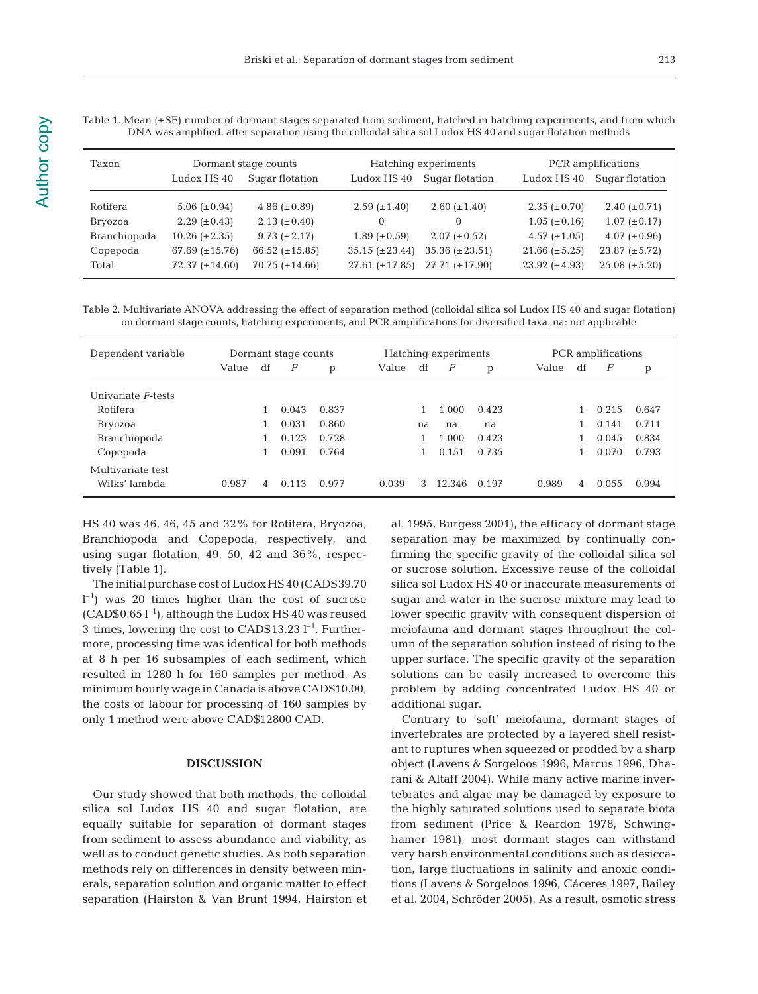| Taxon        | Dormant stage counts |                     |                     | Hatching experiments | PCR amplifications |                      |  |  |
|--------------|----------------------|---------------------|---------------------|----------------------|--------------------|----------------------|--|--|
|              | Ludox HS 40          | Sugar flotation     | Ludox HS 40         | Sugar flotation      | Ludox HS 40        | Sugar flotation      |  |  |
| Rotifera     | 5.06 $(\pm 0.94)$    | 4.86 $(\pm 0.89)$   | $2.59 \ (\pm 1.40)$ | $2.60 (\pm 1.40)$    | $2.35 (\pm 0.70)$  | 2.40 $(\pm 0.71)$    |  |  |
| Bryozoa      | $2.29 \ (\pm 0.43)$  | $2.13 (\pm 0.40)$   | $\Omega$            | $\Omega$             | $1.05 (\pm 0.16)$  | $1.07 (\pm 0.17)$    |  |  |
| Branchiopoda | $10.26 (\pm 2.35)$   | $9.73 \ (\pm 2.17)$ | $1.89 \ (\pm 0.59)$ | $2.07 (\pm 0.52)$    | $4.57 (\pm 1.05)$  | $4.07 (\pm 0.96)$    |  |  |
| Copepoda     | 67.69 $(\pm 15.76)$  | 66.52 $(\pm 15.85)$ | $35.15 (\pm 23.44)$ | $35.36 (\pm 23.51)$  | $21.66 (\pm 5.25)$ | $23.87 \ (\pm 5.72)$ |  |  |
| Total        | $72.37 (\pm 14.60)$  | $70.75 (\pm 14.66)$ | $27.61 (\pm 17.85)$ | $27.71 (\pm 17.90)$  | 23.92 $(\pm 4.93)$ | $25.08 (\pm 5.20)$   |  |  |

Table 1. Mean (±SE) number of dormant stages separated from sediment, hatched in hatching experiments, and from which DNA was amplified, after separation using the colloidal silica sol Ludox HS 40 and sugar flotation methods

Table 2. Multivariate ANOVA addressing the effect of separation method (colloidal silica sol Ludox HS 40 and sugar flotation) on dormant stage counts, hatching experiments, and PCR amplifications for diversified taxa. na: not applicable

| Dependent variable | Dormant stage counts |                |       |       | Hatching experiments |    |        |       | PCR amplifications |    |       |       |
|--------------------|----------------------|----------------|-------|-------|----------------------|----|--------|-------|--------------------|----|-------|-------|
|                    | Value                | df             | F     | p     | Value                | df | F      | p     | Value              | df | F     | p     |
| Univariate F-tests |                      |                |       |       |                      |    |        |       |                    |    |       |       |
| Rotifera           |                      |                | 0.043 | 0.837 |                      |    | 1.000  | 0.423 |                    |    | 0.215 | 0.647 |
| Bryozoa            |                      |                | 0.031 | 0.860 |                      | na | na     | na    |                    |    | 0.141 | 0.711 |
| Branchiopoda       |                      |                | 0.123 | 0.728 |                      |    | 1.000  | 0.423 |                    |    | 0.045 | 0.834 |
| Copepoda           |                      |                | 0.091 | 0.764 |                      |    | 0.151  | 0.735 |                    |    | 0.070 | 0.793 |
| Multivariate test  |                      |                |       |       |                      |    |        |       |                    |    |       |       |
| Wilks' lambda      | 0.987                | $\overline{4}$ | 0.113 | 0.977 | 0.039                | 3  | 12.346 | 0.197 | 0.989              | 4  | 0.055 | 0.994 |

HS 40 was 46, 46, 45 and 32% for Rotifera, Bryozoa, Branchiopoda and Copepoda, respectively, and using sugar flotation, 49, 50, 42 and 36%, respectively (Table 1).

The initial purchase cost of Ludox HS 40 (CAD\$39.70  $l^{-1}$ ) was 20 times higher than the cost of sucrose  $(CAD$0.65<sup>-1</sup>$ , although the Ludox HS 40 was reused 3 times, lowering the cost to CAD\$13.23  $l^{-1}$ . Furthermore, processing time was identical for both methods at 8 h per 16 subsamples of each sediment, which resulted in 1280 h for 160 samples per method. As minimum hourly wage in Canada is above CAD\$10.00, the costs of labour for processing of 160 samples by only 1 method were above CAD\$12800 CAD.

## **DISCUSSION**

Our study showed that both methods, the colloidal silica sol Ludox HS 40 and sugar flotation, are equally suitable for separation of dormant stages from sediment to assess abundance and viability, as well as to conduct genetic studies. As both separation methods rely on differences in density between minerals, separation solution and organic matter to effect separation (Hairston & Van Brunt 1994, Hairston et al. 1995, Burgess 2001), the efficacy of dormant stage separation may be maximized by continually confirming the specific gravity of the colloidal silica sol or sucrose solution. Excessive reuse of the colloidal silica sol Ludox HS 40 or inaccurate measurements of sugar and water in the sucrose mixture may lead to lower specific gravity with consequent dispersion of meiofauna and dormant stages throughout the column of the separation solution instead of rising to the upper surface. The specific gravity of the separation solutions can be easily increased to overcome this problem by adding concentrated Ludox HS 40 or additional sugar.

Contrary to 'soft' meiofauna, dormant stages of invertebrates are protected by a layered shell resistant to ruptures when squeezed or prodded by a sharp object (Lavens & Sorgeloos 1996, Marcus 1996, Dharani & Altaff 2004). While many active marine invertebrates and algae may be damaged by exposure to the highly saturated solutions used to separate biota from sediment (Price & Reardon 1978, Schwinghamer 1981), most dormant stages can withstand very harsh environmental conditions such as desiccation, large fluctuations in salinity and anoxic conditions (Lavens & Sorgeloos 1996, Cáceres 1997, Bailey et al. 2004, Schröder 2005). As a result, osmotic stress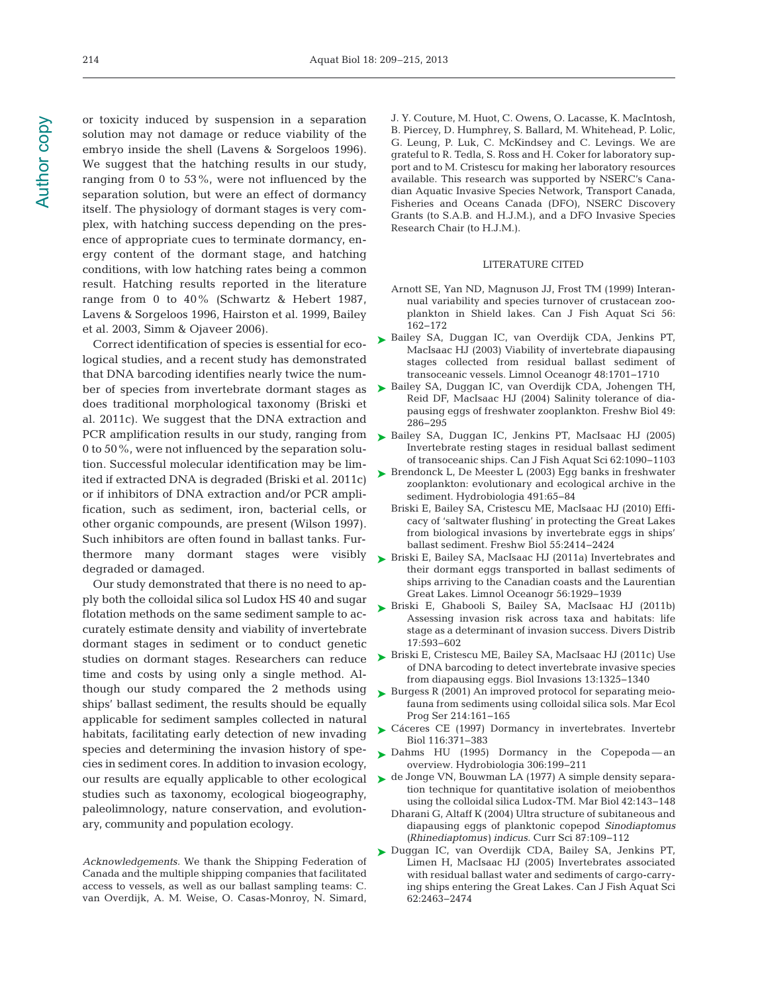or toxicity induced by suspension in a separation solution may not damage or reduce viability of the embryo inside the shell (Lavens & Sorgeloos 1996). We suggest that the hatching results in our study, ranging from 0 to 53%, were not influenced by the separation solution, but were an effect of dormancy itself. The physiology of dormant stages is very complex, with hatching success depending on the presence of appropriate cues to terminate dormancy, energy content of the dormant stage, and hatching conditions, with low hatching rates being a common result. Hatching results reported in the literature range from 0 to 40% (Schwartz & Hebert 1987, Lavens & Sorgeloos 1996, Hairston et al. 1999, Bailey et al. 2003, Simm & Ojaveer 2006).

Correct identification of species is essential for ecological studies, and a recent study has demonstrated that DNA barcoding identifies nearly twice the number of species from invertebrate dormant stages as does traditional morphological taxonomy (Briski et al. 2011c). We suggest that the DNA extraction and PCR amplification results in our study, ranging from 0 to 50%, were not influenced by the separation solution. Successful molecular identification may be limited if extracted DNA is degraded (Briski et al. 2011c) or if inhibitors of DNA extraction and/or PCR amplification, such as sediment, iron, bacterial cells, or other organic compounds, are present (Wilson 1997). Such inhibitors are often found in ballast tanks. Furthermore many dormant stages were visibly degraded or damaged.

Our study demonstrated that there is no need to apply both the colloidal silica sol Ludox HS 40 and sugar flotation methods on the same sediment sample to accurately estimate density and viability of invertebrate dormant stages in sediment or to conduct genetic studies on dormant stages. Researchers can reduce time and costs by using only a single method. Although our study compared the 2 methods using ships' ballast sediment, the results should be equally applicable for sediment samples collected in natural habitats, facilitating early detection of new invading species and determining the invasion history of species in sediment cores. In addition to invasion ecology, studies such as taxonomy, ecological biogeography, paleolimnology, nature conservation, and evolutionary, community and population ecology.

*Acknowledgements.* We thank the Shipping Federation of Canada and the multiple shipping companies that facilitated access to vessels, as well as our ballast sampling teams: C. van Overdijk, A. M. Weise, O. Casas-Monroy, N. Simard, J. Y. Couture, M. Huot, C. Owens, O. Lacasse, K. MacIntosh, B. Piercey, D. Humphrey, S. Ballard, M. Whitehead, P. Lolic, G. Leung, P. Luk, C. McKindsey and C. Levings. We are grateful to R. Tedla, S. Ross and H. Coker for laboratory support and to M. Cristescu for making her laboratory resources available. This research was supported by NSERC's Canadian Aquatic Invasive Species Network, Transport Canada, Fisheries and Oceans Canada (DFO), NSERC Discovery Grants (to S.A.B. and H.J.M.), and a DFO Invasive Species Research Chair (to H.J.M.).

## LITERATURE CITED

- Arnott SE, Yan ND, Magnuson JJ, Frost TM (1999) Interannual variability and species turnover of crustacean zooplankton in Shield lakes. Can J Fish Aquat Sci 56: 162−172
- ▶ Bailey SA, Duggan IC, van Overdijk CDA, Jenkins PT, MacIsaac HJ (2003) Viability of invertebrate diapausing stages collected from residual ballast sediment of transoceanic vessels. Limnol Oceanogr 48: 1701−1710
- Bailey SA, Duggan IC, van Overdijk CDA, Johengen TH, ➤ Reid DF, MacIsaac HJ (2004) Salinity tolerance of diapausing eggs of freshwater zooplankton. Freshw Biol 49: 286−295
- ► Bailey SA, Duggan IC, Jenkins PT, MacIsaac HJ (2005) Invertebrate resting stages in residual ballast sediment of transoceanic ships. Can J Fish Aquat Sci 62: 1090−1103
- ► Brendonck L, De Meester L (2003) Egg banks in freshwater zooplankton: evolutionary and ecological archive in the sediment. Hydrobiologia 491:65-84
	- Briski E, Bailey SA, Cristescu ME, MacIsaac HJ (2010) Efficacy of 'saltwater flushing' in protecting the Great Lakes from biological invasions by invertebrate eggs in ships' ballast sediment. Freshw Biol 55: 2414−2424
- Briski E, Bailey SA, MacIsaac HJ (2011a) Invertebrates and ➤ their dormant eggs transported in ballast sediments of ships arriving to the Canadian coasts and the Laurentian Great Lakes. Limnol Oceanogr 56: 1929−1939
- ► Briski E, Ghabooli S, Bailey SA, MacIsaac HJ (2011b) Assessing invasion risk across taxa and habitats: life stage as a determinant of invasion success. Divers Distrib 17: 593−602
- Briski E, Cristescu ME, Bailey SA, MacIsaac HJ (2011c) Use ➤ of DNA barcoding to detect invertebrate invasive species from diapausing eggs. Biol Invasions 13: 1325−1340
- ► Burgess R (2001) An improved protocol for separating meiofauna from sediments using colloidal silica sols. Mar Ecol Prog Ser 214: 161−165
- ► Cáceres CE (1997) Dormancy in invertebrates. Invertebr Biol 116:371-383
- ▶ Dahms HU (1995) Dormancy in the Copepoda-an overview. Hydrobiologia 306: 199−211
- our results are equally applicable to other ecological  $\triangleright$  de Jonge VN, Bouwman LA (1977) A simple density separation technique for quantitative isolation of meiobenthos using the colloidal silica Ludox-TM. Mar Biol 42: 143−148
	- Dharani G, Altaff K (2004) Ultra structure of subitaneous and diapausing eggs of planktonic copepod *Sinodiaptomus (Rhinediaptomus) indicus.* Curr Sci 87: 109−112
	- Duggan IC, van Overdijk CDA, Bailey SA, Jenkins PT, ➤Limen H, MacIsaac HJ (2005) Invertebrates associated with residual ballast water and sediments of cargo-carrying ships entering the Great Lakes. Can J Fish Aquat Sci 62: 2463−2474